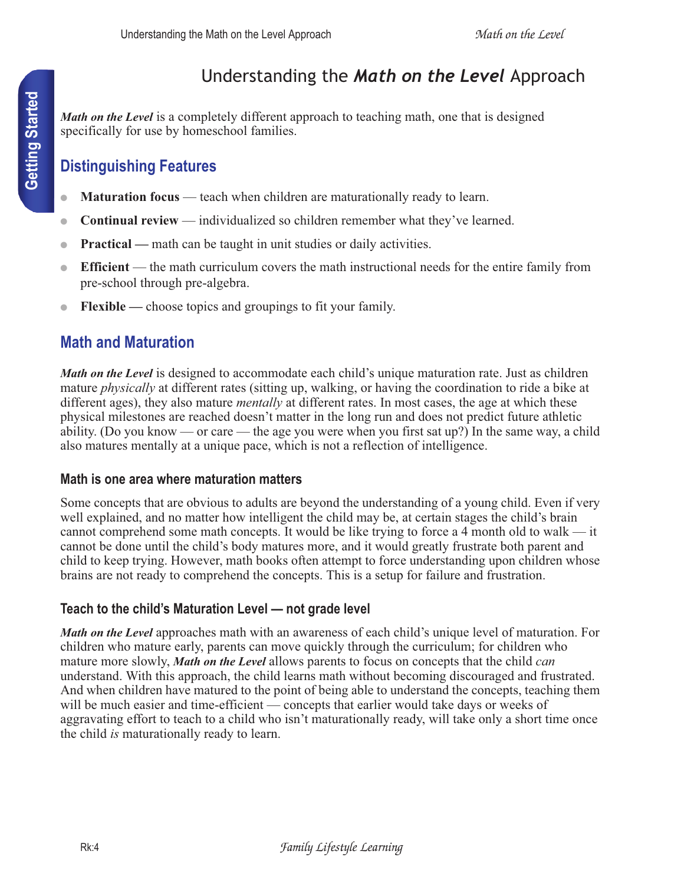# Understanding the *Math on the Level* Approach

*Math on the Level* is a completely different approach to teaching math, one that is designed specifically for use by homeschool families.

## **Distinguishing Features**

- **Maturation focus** teach when children are maturationally ready to learn.
- **Continual review** individualized so children remember what they've learned.
- **Practical** math can be taught in unit studies or daily activities.
- **Efficient** the math curriculum covers the math instructional needs for the entire family from pre-school through pre-algebra.
- **Flexible** choose topics and groupings to fit your family.

## **Math and Maturation**

*Math on the Level* is designed to accommodate each child's unique maturation rate. Just as children mature *physically* at different rates (sitting up, walking, or having the coordination to ride a bike at different ages), they also mature *mentally* at different rates. In most cases, the age at which these physical milestones are reached doesn't matter in the long run and does not predict future athletic ability. (Do you know — or care — the age you were when you first sat up?) In the same way, a child also matures mentally at a unique pace, which is not a reflection of intelligence.

## **Math is one area where maturation matters**

Some concepts that are obvious to adults are beyond the understanding of a young child. Even if very well explained, and no matter how intelligent the child may be, at certain stages the child's brain cannot comprehend some math concepts. It would be like trying to force a 4 month old to walk — it cannot be done until the child's body matures more, and it would greatly frustrate both parent and child to keep trying. However, math books often attempt to force understanding upon children whose brains are not ready to comprehend the concepts. This is a setup for failure and frustration.

## **Teach to the child's Maturation Level — not grade level**

*Math on the Level* approaches math with an awareness of each child's unique level of maturation. For children who mature early, parents can move quickly through the curriculum; for children who mature more slowly, *Math on the Level* allows parents to focus on concepts that the child *can*  understand. With this approach, the child learns math without becoming discouraged and frustrated. And when children have matured to the point of being able to understand the concepts, teaching them will be much easier and time-efficient — concepts that earlier would take days or weeks of aggravating effort to teach to a child who isn't maturationally ready, will take only a short time once the child *is* maturationally ready to learn.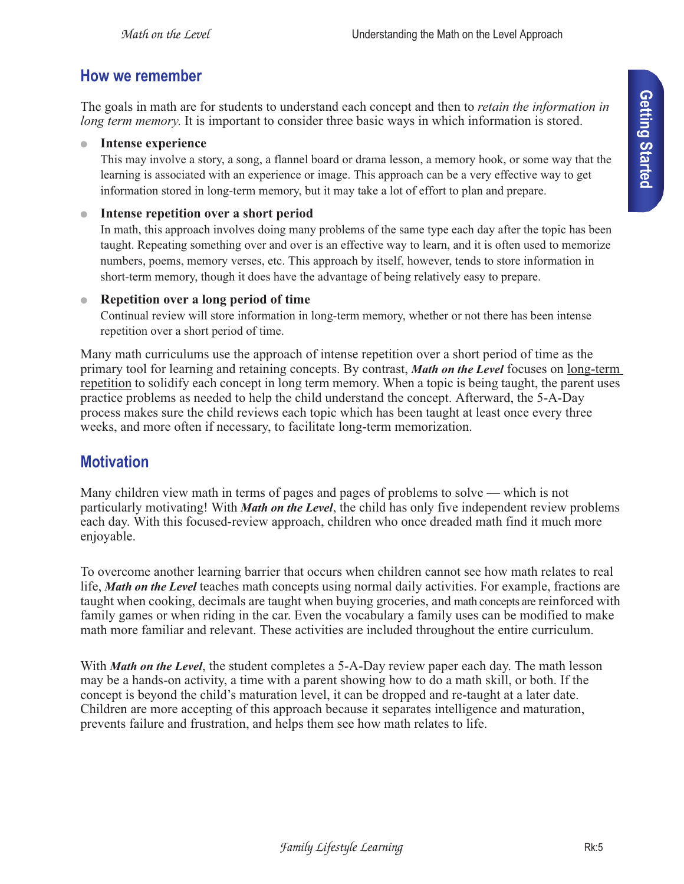### **How we remember**

The goals in math are for students to understand each concept and then to *retain the information in long term memory*. It is important to consider three basic ways in which information is stored.

● **Intense experience**

This may involve a story, a song, a flannel board or drama lesson, a memory hook, or some way that the learning is associated with an experience or image. This approach can be a very effective way to get information stored in long-term memory, but it may take a lot of effort to plan and prepare.

#### ● **Intense repetition over a short period**

In math, this approach involves doing many problems of the same type each day after the topic has been taught. Repeating something over and over is an effective way to learn, and it is often used to memorize numbers, poems, memory verses, etc. This approach by itself, however, tends to store information in short-term memory, though it does have the advantage of being relatively easy to prepare.

#### ● **Repetition over a long period of time**

Continual review will store information in long-term memory, whether or not there has been intense repetition over a short period of time.

Many math curriculums use the approach of intense repetition over a short period of time as the primary tool for learning and retaining concepts. By contrast, *Math on the Level* focuses on long-term repetition to solidify each concept in long term memory. When a topic is being taught, the parent uses practice problems as needed to help the child understand the concept. Afterward, the 5-A-Day process makes sure the child reviews each topic which has been taught at least once every three weeks, and more often if necessary, to facilitate long-term memorization.

## **Motivation**

Many children view math in terms of pages and pages of problems to solve — which is not particularly motivating! With *Math on the Level*, the child has only five independent review problems each day. With this focused-review approach, children who once dreaded math find it much more enjoyable.

To overcome another learning barrier that occurs when children cannot see how math relates to real life, *Math on the Level* teaches math concepts using normal daily activities. For example, fractions are taught when cooking, decimals are taught when buying groceries, and math concepts are reinforced with family games or when riding in the car. Even the vocabulary a family uses can be modified to make math more familiar and relevant. These activities are included throughout the entire curriculum.

With *Math on the Level*, the student completes a 5-A-Day review paper each day. The math lesson may be a hands-on activity, a time with a parent showing how to do a math skill, or both. If the concept is beyond the child's maturation level, it can be dropped and re-taught at a later date. Children are more accepting of this approach because it separates intelligence and maturation, prevents failure and frustration, and helps them see how math relates to life.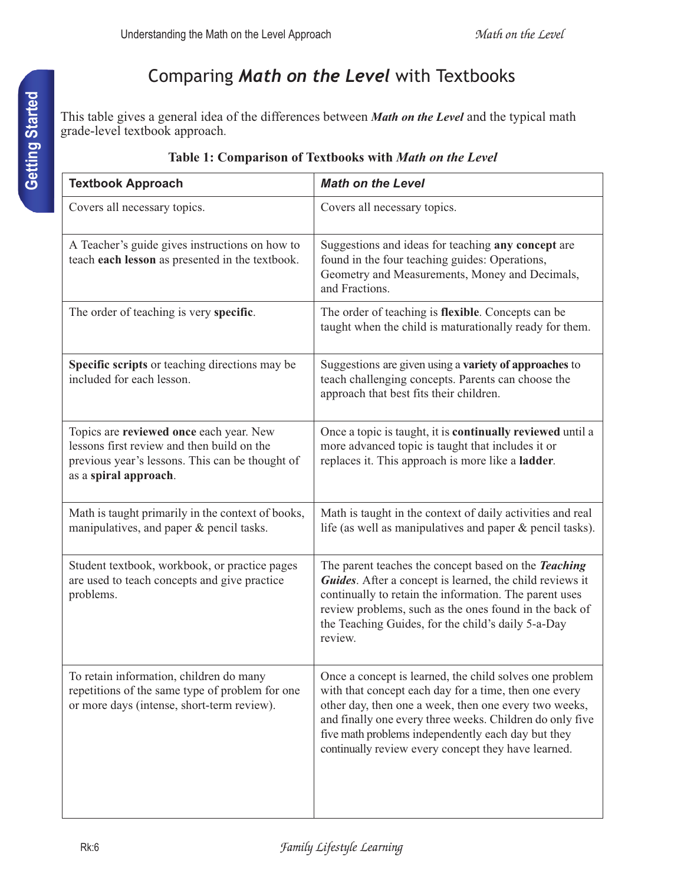# Comparing *Math on the Level* with Textbooks

This table gives a general idea of the differences between *Math on the Level* and the typical math grade-level textbook approach.

| <b>Textbook Approach</b>                                                                                                                                          | <b>Math on the Level</b>                                                                                                                                                                                                                                                                                                                           |
|-------------------------------------------------------------------------------------------------------------------------------------------------------------------|----------------------------------------------------------------------------------------------------------------------------------------------------------------------------------------------------------------------------------------------------------------------------------------------------------------------------------------------------|
| Covers all necessary topics.                                                                                                                                      | Covers all necessary topics.                                                                                                                                                                                                                                                                                                                       |
| A Teacher's guide gives instructions on how to<br>teach each lesson as presented in the textbook.                                                                 | Suggestions and ideas for teaching any concept are<br>found in the four teaching guides: Operations,<br>Geometry and Measurements, Money and Decimals,<br>and Fractions.                                                                                                                                                                           |
| The order of teaching is very specific.                                                                                                                           | The order of teaching is flexible. Concepts can be<br>taught when the child is maturationally ready for them.                                                                                                                                                                                                                                      |
| Specific scripts or teaching directions may be<br>included for each lesson.                                                                                       | Suggestions are given using a variety of approaches to<br>teach challenging concepts. Parents can choose the<br>approach that best fits their children.                                                                                                                                                                                            |
| Topics are reviewed once each year. New<br>lessons first review and then build on the<br>previous year's lessons. This can be thought of<br>as a spiral approach. | Once a topic is taught, it is continually reviewed until a<br>more advanced topic is taught that includes it or<br>replaces it. This approach is more like a <b>ladder</b> .                                                                                                                                                                       |
| Math is taught primarily in the context of books,<br>manipulatives, and paper & pencil tasks.                                                                     | Math is taught in the context of daily activities and real<br>life (as well as manipulatives and paper $\&$ pencil tasks).                                                                                                                                                                                                                         |
| Student textbook, workbook, or practice pages<br>are used to teach concepts and give practice<br>problems.                                                        | The parent teaches the concept based on the Teaching<br>Guides. After a concept is learned, the child reviews it<br>continually to retain the information. The parent uses<br>review problems, such as the ones found in the back of<br>the Teaching Guides, for the child's daily 5-a-Day<br>review.                                              |
| To retain information, children do many<br>repetitions of the same type of problem for one<br>or more days (intense, short-term review).                          | Once a concept is learned, the child solves one problem<br>with that concept each day for a time, then one every<br>other day, then one a week, then one every two weeks,<br>and finally one every three weeks. Children do only five<br>five math problems independently each day but they<br>continually review every concept they have learned. |

#### **Table 1: Comparison of Textbooks with** *Math on the Level*